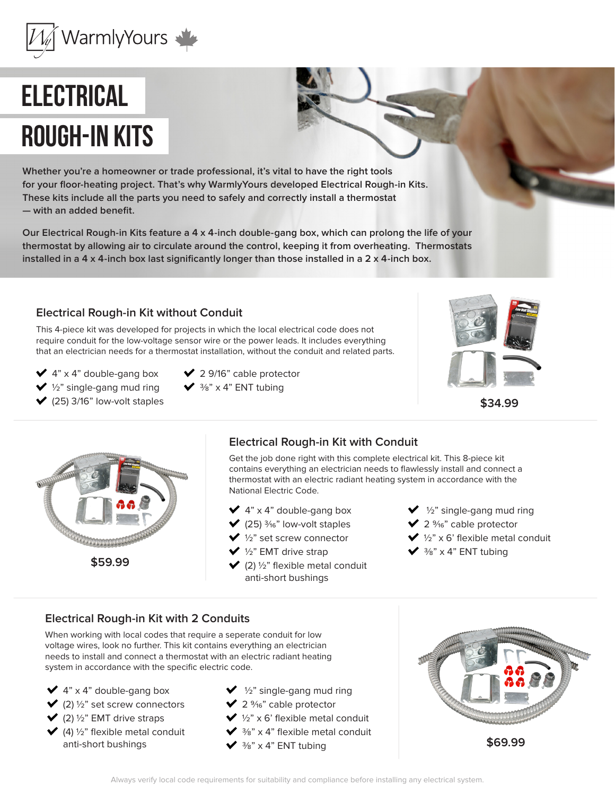

# **Electrical rough-in kits**

**Whether you're a homeowner or trade professional, it's vital to have the right tools for your floor-heating project. That's why WarmlyYours developed Electrical Rough-in Kits. These kits include all the parts you need to safely and correctly install a thermostat — with an added benefit.** 

**Our Electrical Rough-in Kits feature a 4 x 4-inch double-gang box, which can prolong the life of your thermostat by allowing air to circulate around the control, keeping it from overheating. Thermostats installed in a 4 x 4-inch box last significantly longer than those installed in a 2 x 4-inch box.**

### **Electrical Rough-in Kit without Conduit**

This 4-piece kit was developed for projects in which the local electrical code does not require conduit for the low-voltage sensor wire or the power leads. It includes everything that an electrician needs for a thermostat installation, without the conduit and related parts.

 $\blacktriangleright$  4" x 4" double-gang box

- $\vee$  1/<sub>2</sub>" single-gang mud ring
- $\vee$  (25) 3/16" low-volt staples
- $\vee$  2 9/16" cable protector
- $\sqrt{\frac{3}{8}}$  x 4" ENT tubing
- 





# **Electrical Rough-in Kit with Conduit**

Get the job done right with this complete electrical kit. This 8-piece kit contains everything an electrician needs to flawlessly install and connect a thermostat with an electric radiant heating system in accordance with the National Electric Code.

- $\blacktriangleright$  4" x 4" double-gang box
- $\blacktriangledown$  (25)  $\frac{3}{16}$ " low-volt staples
- $\bigvee$  1/<sub>2</sub>" set screw connector
- $\vee$  1/<sub>2</sub>" EMT drive strap
- $\blacktriangleright$  (2)  $\frac{1}{2}$ " flexible metal conduit anti-short bushings
- $\bigvee$  1/<sub>2</sub>" single-gang mud ring
- $\vee$  2 %<sup>6</sup>" cable protector
- $\vee$  1/2" x 6' flexible metal conduit
- $\vee$  3/8" x 4" ENT tubing

#### **Electrical Rough-in Kit with 2 Conduits**

When working with local codes that require a seperate conduit for low voltage wires, look no further. This kit contains everything an electrician needs to install and connect a thermostat with an electric radiant heating system in accordance with the specific electric code.

- $\blacktriangleright$  4" x 4" double-gang box  $\blacktriangleright$  (2)  $\frac{1}{2}$ " set screw connectors
- $\blacktriangleright$  (2)  $\frac{1}{2}$ " EMT drive straps
- $(4)$  1/2" flexible metal conduit anti-short bushings
- $\blacktriangleright$  1/<sub>2</sub>" single-gang mud ring
- $\vee$  2 %<sup>6</sup>" cable protector
- $\vee$  1/2" x 6' flexible metal conduit
- $\sqrt{\frac{3}{8}}$  x 4" flexible metal conduit
- $\sqrt{\frac{3}{8}}$  x 4" ENT tubing

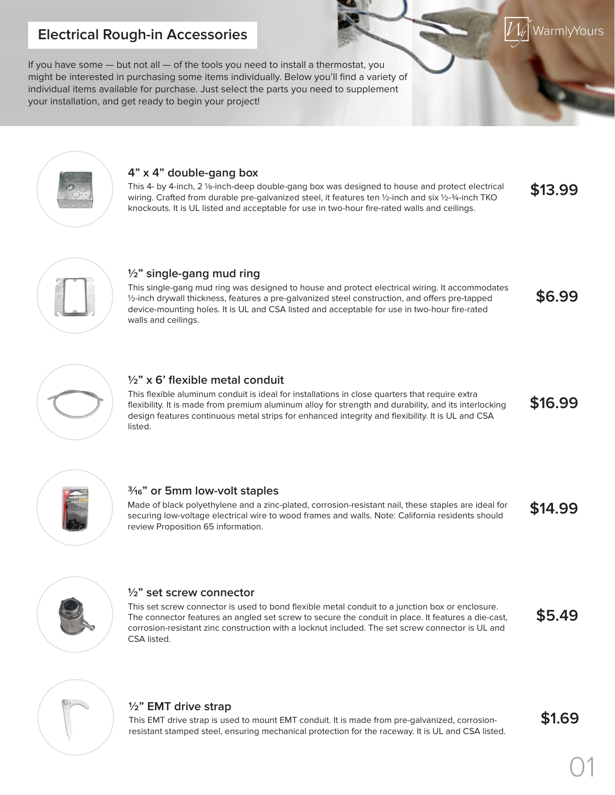# **Electrical Rough-in Accessories**

If you have some — but not all — of the tools you need to install a thermostat, you might be interested in purchasing some items individually. Below you'll find a variety of individual items available for purchase. Just select the parts you need to supplement your installation, and get ready to begin your project!



#### **4" x 4" double-gang box**

This 4- by 4-inch, 2 1/8-inch-deep double-gang box was designed to house and protect electrical wiring. Crafted from durable pre-galvanized steel, it features ten 1/2-inch and six 1/2-3/4-inch TKO knockouts. It is UL listed and acceptable for use in two-hour fire-rated walls and ceilings. **\$13.99**



### **½" single-gang mud ring**

This single-gang mud ring was designed to house and protect electrical wiring. It accommodates ½-inch drywall thickness, features a pre-galvanized steel construction, and offers pre-tapped device-mounting holes. It is UL and CSA listed and acceptable for use in two-hour fire-rated walls and ceilings.



### **½" x 6' flexible metal conduit**

This flexible aluminum conduit is ideal for installations in close quarters that require extra flexibility. It is made from premium aluminum alloy for strength and durability, and its interlocking design features continuous metal strips for enhanced integrity and flexibility. It is UL and CSA listed. **\$16.99**



#### **3/16" or 5mm low-volt staples**

Made of black polyethylene and a zinc-plated, corrosion-resistant nail, these staples are ideal for securing low-voltage electrical wire to wood frames and walls. Note: California residents should review Proposition 65 information. **\$14.99**



#### **½" set screw connector**

This set screw connector is used to bond flexible metal conduit to a junction box or enclosure. The connector features an angled set screw to secure the conduit in place. It features a die-cast, corrosion-resistant zinc construction with a locknut included. The set screw connector is UL and CSA listed. **\$5.49**



# **½" EMT drive strap**

This EMT drive strap is used to mount EMT conduit. It is made from pre-galvanized, corrosionresistant stamped steel, ensuring mechanical protection for the raceway. It is UL and CSA listed. **\$1.69**

**WarmlyYours** 

**\$6.99**